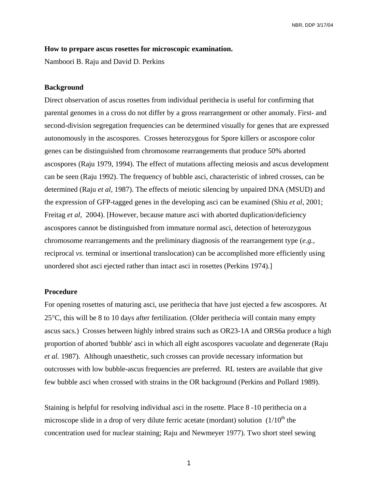## **How to prepare ascus rosettes for microscopic examination.**

Namboori B. Raju and David D. Perkins

## **Background**

Direct observation of ascus rosettes from individual perithecia is useful for confirming that parental genomes in a cross do not differ by a gross rearrangement or other anomaly. First- and second-division segregation frequencies can be determined visually for genes that are expressed autonomously in the ascospores. Crosses heterozygous for Spore killers or ascospore color genes can be distinguished from chromosome rearrangements that produce 50% aborted ascospores (Raju 1979, 1994). The effect of mutations affecting meiosis and ascus development can be seen (Raju 1992). The frequency of bubble asci, characteristic of inbred crosses, can be determined (Raju *et al,* 1987). The effects of meiotic silencing by unpaired DNA (MSUD) and the expression of GFP-tagged genes in the developing asci can be examined (Shiu *et al,* 2001; Freitag *et al*, 2004). [However, because mature asci with aborted duplication/deficiency ascospores cannot be distinguished from immature normal asci, detection of heterozygous chromosome rearrangements and the preliminary diagnosis of the rearrangement type (*e.g.*, reciprocal *vs*. terminal or insertional translocation) can be accomplished more efficiently using unordered shot asci ejected rather than intact asci in rosettes (Perkins 1974).]

## **Procedure**

For opening rosettes of maturing asci, use perithecia that have just ejected a few ascospores. At 25°C, this will be 8 to 10 days after fertilization. (Older perithecia will contain many empty ascus sacs.) Crosses between highly inbred strains such as OR23-1A and ORS6a produce a high proportion of aborted 'bubble' asci in which all eight ascospores vacuolate and degenerate (Raju *et al.* 1987). Although unaesthetic, such crosses can provide necessary information but outcrosses with low bubble-ascus frequencies are preferred. RL testers are available that give few bubble asci when crossed with strains in the OR background (Perkins and Pollard 1989).

Staining is helpful for resolving individual asci in the rosette. Place 8 -10 perithecia on a microscope slide in a drop of very dilute ferric acetate (mordant) solution  $(1/10<sup>th</sup>$  the concentration used for nuclear staining; Raju and Newmeyer 1977). Two short steel sewing

 $1$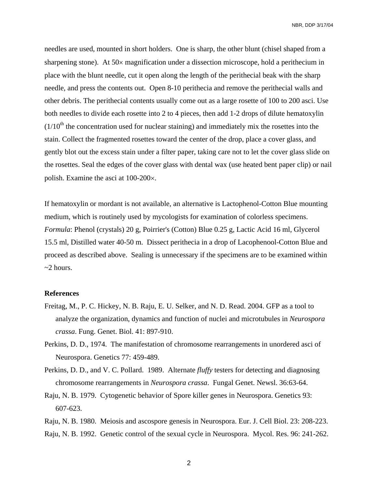NBR, DDP 3/17/04

needles are used, mounted in short holders. One is sharp, the other blunt (chisel shaped from a sharpening stone). At 50× magnification under a dissection microscope, hold a perithecium in place with the blunt needle, cut it open along the length of the perithecial beak with the sharp needle, and press the contents out. Open 8-10 perithecia and remove the perithecial walls and other debris. The perithecial contents usually come out as a large rosette of 100 to 200 asci. Use both needles to divide each rosette into 2 to 4 pieces, then add 1-2 drops of dilute hematoxylin  $(1/10<sup>th</sup>$  the concentration used for nuclear staining) and immediately mix the rosettes into the stain. Collect the fragmented rosettes toward the center of the drop, place a cover glass, and gently blot out the excess stain under a filter paper, taking care not to let the cover glass slide on the rosettes. Seal the edges of the cover glass with dental wax (use heated bent paper clip) or nail polish. Examine the asci at 100-200×.

If hematoxylin or mordant is not available, an alternative is Lactophenol-Cotton Blue mounting medium, which is routinely used by mycologists for examination of colorless specimens. *Formula*: Phenol (crystals) 20 g, Poirrier's (Cotton) Blue 0.25 g, Lactic Acid 16 ml, Glycerol 15.5 ml, Distilled water 40-50 m. Dissect perithecia in a drop of Lacophenool-Cotton Blue and proceed as described above. Sealing is unnecessary if the specimens are to be examined within ~2 hours.

## **References**

- Freitag, M., P. C. Hickey, N. B. Raju, E. U. Selker, and N. D. Read. 2004. GFP as a tool to analyze the organization, dynamics and function of nuclei and microtubules in *Neurospora crassa*. Fung. Genet. Biol. 41: 897-910.
- Perkins, D. D., 1974. The manifestation of chromosome rearrangements in unordered asci of Neurospora. Genetics 77: 459-489.
- Perkins, D. D., and V. C. Pollard. 1989. Alternate *fluffy* testers for detecting and diagnosing chromosome rearrangements in *Neurospora crassa*. Fungal Genet. Newsl. 36:63-64.
- Raju, N. B. 1979. Cytogenetic behavior of Spore killer genes in Neurospora. Genetics 93: 607-623.

Raju, N. B. 1980. Meiosis and ascospore genesis in Neurospora. Eur. J. Cell Biol. 23: 208-223. Raju, N. B. 1992. Genetic control of the sexual cycle in Neurospora. Mycol. Res. 96: 241-262.

2